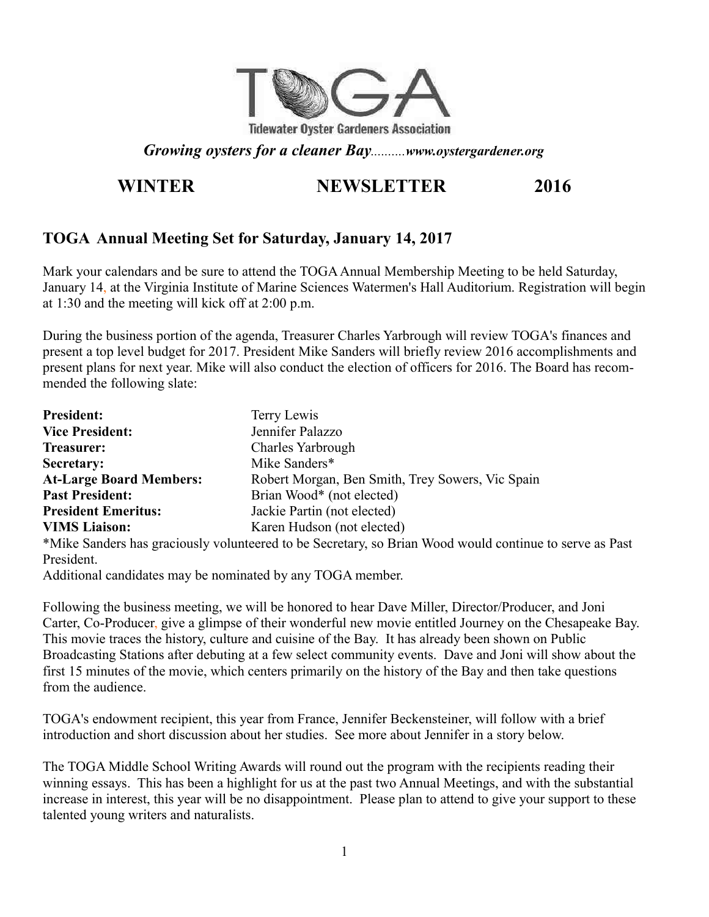

*Growing oysters for a cleaner Bay..........www.oystergardener.org*

## **WINTER NEWSLETTER 2016**

## **TOGA Annual Meeting Set for Saturday, January 14, 2017**

Mark your calendars and be sure to attend the TOGA Annual Membership Meeting to be held Saturday, January 14, at the Virginia Institute of Marine Sciences Watermen's Hall Auditorium. Registration will begin at 1:30 and the meeting will kick off at 2:00 p.m.

During the business portion of the agenda, Treasurer Charles Yarbrough will review TOGA's finances and present a top level budget for 2017. President Mike Sanders will briefly review 2016 accomplishments and present plans for next year. Mike will also conduct the election of officers for 2016. The Board has recommended the following slate:

| <b>President:</b>              | Terry Lewis                                      |
|--------------------------------|--------------------------------------------------|
| <b>Vice President:</b>         | Jennifer Palazzo                                 |
| <b>Treasurer:</b>              | Charles Yarbrough                                |
| <b>Secretary:</b>              | Mike Sanders*                                    |
| <b>At-Large Board Members:</b> | Robert Morgan, Ben Smith, Trey Sowers, Vic Spain |
| <b>Past President:</b>         | Brian Wood* (not elected)                        |
| <b>President Emeritus:</b>     | Jackie Partin (not elected)                      |
| <b>VIMS Liaison:</b>           | Karen Hudson (not elected)                       |
|                                |                                                  |

\*Mike Sanders has graciously volunteered to be Secretary, so Brian Wood would continue to serve as Past President.

Additional candidates may be nominated by any TOGA member.

Following the business meeting, we will be honored to hear Dave Miller, Director/Producer, and Joni Carter, Co-Producer, give a glimpse of their wonderful new movie entitled Journey on the Chesapeake Bay. This movie traces the history, culture and cuisine of the Bay. It has already been shown on Public Broadcasting Stations after debuting at a few select community events. Dave and Joni will show about the first 15 minutes of the movie, which centers primarily on the history of the Bay and then take questions from the audience.

TOGA's endowment recipient, this year from France, Jennifer Beckensteiner, will follow with a brief introduction and short discussion about her studies. See more about Jennifer in a story below.

The TOGA Middle School Writing Awards will round out the program with the recipients reading their winning essays. This has been a highlight for us at the past two Annual Meetings, and with the substantial increase in interest, this year will be no disappointment. Please plan to attend to give your support to these talented young writers and naturalists.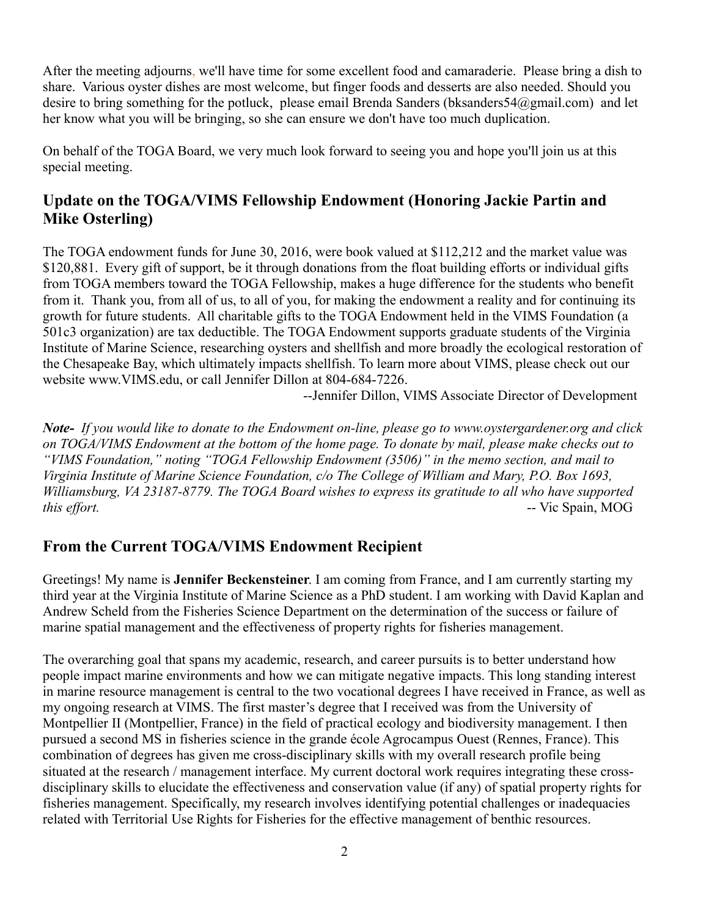After the meeting adjourns, we'll have time for some excellent food and camaraderie. Please bring a dish to share. Various oyster dishes are most welcome, but finger foods and desserts are also needed. Should you desire to bring something for the potluck, please email Brenda Sanders (bksanders 54@gmail.com) and let her know what you will be bringing, so she can ensure we don't have too much duplication.

On behalf of the TOGA Board, we very much look forward to seeing you and hope you'll join us at this special meeting.

## **Update on the TOGA/VIMS Fellowship Endowment (Honoring Jackie Partin and Mike Osterling)**

The TOGA endowment funds for June 30, 2016, were book valued at \$112,212 and the market value was \$120,881. Every gift of support, be it through donations from the float building efforts or individual gifts from TOGA members toward the TOGA Fellowship, makes a huge difference for the students who benefit from it. Thank you, from all of us, to all of you, for making the endowment a reality and for continuing its growth for future students. All charitable gifts to the TOGA Endowment held in the VIMS Foundation (a 501c3 organization) are tax deductible. The TOGA Endowment supports graduate students of the Virginia Institute of Marine Science, researching oysters and shellfish and more broadly the ecological restoration of the Chesapeake Bay, which ultimately impacts shellfish. To learn more about VIMS, please check out our website www.VIMS.edu, or call Jennifer Dillon at 804-684-7226.

--Jennifer Dillon, VIMS Associate Director of Development

*Note- If you would like to donate to the Endowment on-line, please go to www.oystergardener.org and click on TOGA/VIMS Endowment at the bottom of the home page. To donate by mail, please make checks out to "VIMS Foundation," noting "TOGA Fellowship Endowment (3506)" in the memo section, and mail to Virginia Institute of Marine Science Foundation, c/o The College of William and Mary, P.O. Box 1693, Williamsburg, VA 23187-8779. The TOGA Board wishes to express its gratitude to all who have supported this effort.* -- Vic Spain, MOG

### **From the Current TOGA/VIMS Endowment Recipient**

Greetings! My name is **Jennifer Beckensteiner**. I am coming from France, and I am currently starting my third year at the Virginia Institute of Marine Science as a PhD student. I am working with David Kaplan and Andrew Scheld from the Fisheries Science Department on the determination of the success or failure of marine spatial management and the effectiveness of property rights for fisheries management.

The overarching goal that spans my academic, research, and career pursuits is to better understand how people impact marine environments and how we can mitigate negative impacts. This long standing interest in marine resource management is central to the two vocational degrees I have received in France, as well as my ongoing research at VIMS. The first master's degree that I received was from the University of Montpellier II (Montpellier, France) in the field of practical ecology and biodiversity management. I then pursued a second MS in fisheries science in the grande école Agrocampus Ouest (Rennes, France). This combination of degrees has given me cross-disciplinary skills with my overall research profile being situated at the research / management interface. My current doctoral work requires integrating these crossdisciplinary skills to elucidate the effectiveness and conservation value (if any) of spatial property rights for fisheries management. Specifically, my research involves identifying potential challenges or inadequacies related with Territorial Use Rights for Fisheries for the effective management of benthic resources.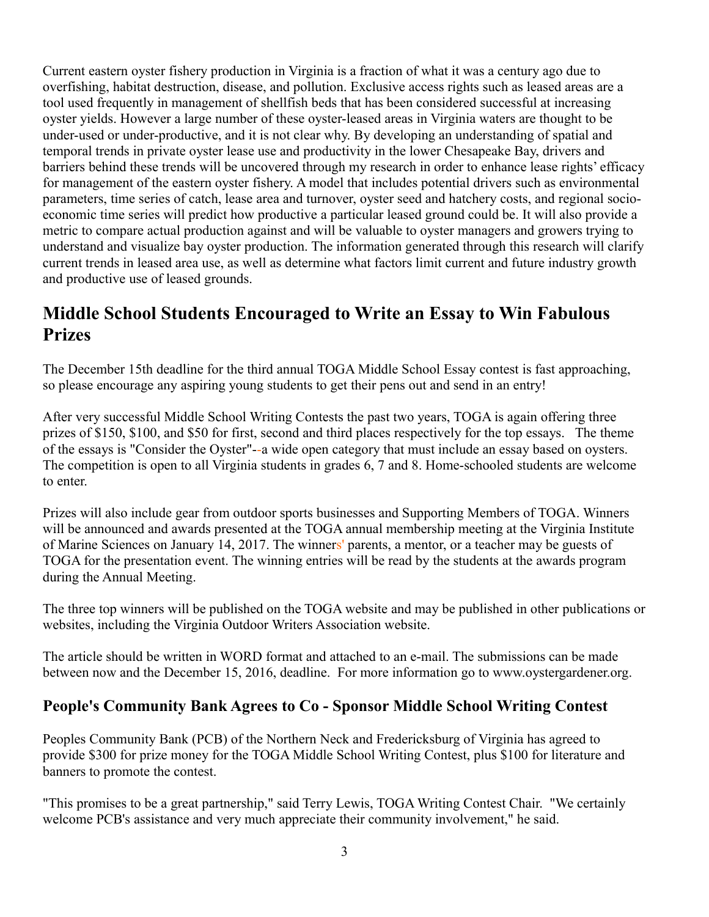Current eastern oyster fishery production in Virginia is a fraction of what it was a century ago due to overfishing, habitat destruction, disease, and pollution. Exclusive access rights such as leased areas are a tool used frequently in management of shellfish beds that has been considered successful at increasing oyster yields. However a large number of these oyster-leased areas in Virginia waters are thought to be under-used or under-productive, and it is not clear why. By developing an understanding of spatial and temporal trends in private oyster lease use and productivity in the lower Chesapeake Bay, drivers and barriers behind these trends will be uncovered through my research in order to enhance lease rights' efficacy for management of the eastern oyster fishery. A model that includes potential drivers such as environmental parameters, time series of catch, lease area and turnover, oyster seed and hatchery costs, and regional socioeconomic time series will predict how productive a particular leased ground could be. It will also provide a metric to compare actual production against and will be valuable to oyster managers and growers trying to understand and visualize bay oyster production. The information generated through this research will clarify current trends in leased area use, as well as determine what factors limit current and future industry growth and productive use of leased grounds.

# **Middle School Students Encouraged to Write an Essay to Win Fabulous Prizes**

The December 15th deadline for the third annual TOGA Middle School Essay contest is fast approaching, so please encourage any aspiring young students to get their pens out and send in an entry!

After very successful Middle School Writing Contests the past two years, TOGA is again offering three prizes of \$150, \$100, and \$50 for first, second and third places respectively for the top essays. The theme of the essays is "Consider the Oyster"--a wide open category that must include an essay based on oysters. The competition is open to all Virginia students in grades 6, 7 and 8. Home-schooled students are welcome to enter.

Prizes will also include gear from outdoor sports businesses and Supporting Members of TOGA. Winners will be announced and awards presented at the TOGA annual membership meeting at the Virginia Institute of Marine Sciences on January 14, 2017. The winners' parents, a mentor, or a teacher may be guests of TOGA for the presentation event. The winning entries will be read by the students at the awards program during the Annual Meeting.

The three top winners will be published on the TOGA website and may be published in other publications or websites, including the Virginia Outdoor Writers Association website.

The article should be written in WORD format and attached to an e-mail. The submissions can be made between now and the December 15, 2016, deadline. For more information go to www.oystergardener.org.

## **People's Community Bank Agrees to Co - Sponsor Middle School Writing Contest**

Peoples Community Bank (PCB) of the Northern Neck and Fredericksburg of Virginia has agreed to provide \$300 for prize money for the TOGA Middle School Writing Contest, plus \$100 for literature and banners to promote the contest.

"This promises to be a great partnership," said Terry Lewis, TOGA Writing Contest Chair. "We certainly welcome PCB's assistance and very much appreciate their community involvement," he said.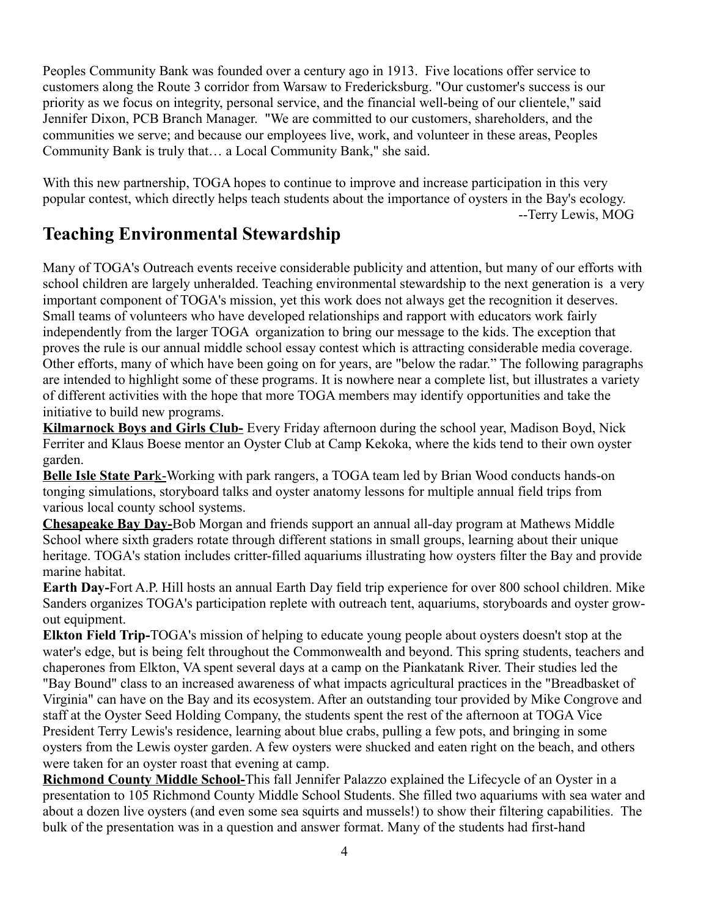Peoples Community Bank was founded over a century ago in 1913. Five locations offer service to customers along the Route 3 corridor from Warsaw to Fredericksburg. "Our customer's success is our priority as we focus on integrity, personal service, and the financial well-being of our clientele," said Jennifer Dixon, PCB Branch Manager. "We are committed to our customers, shareholders, and the communities we serve; and because our employees live, work, and volunteer in these areas, Peoples Community Bank is truly that… a Local Community Bank," she said.

With this new partnership, TOGA hopes to continue to improve and increase participation in this very popular contest, which directly helps teach students about the importance of oysters in the Bay's ecology. --Terry Lewis, MOG

## **Teaching Environmental Stewardship**

Many of TOGA's Outreach events receive considerable publicity and attention, but many of our efforts with school children are largely unheralded. Teaching environmental stewardship to the next generation is a very important component of TOGA's mission, yet this work does not always get the recognition it deserves. Small teams of volunteers who have developed relationships and rapport with educators work fairly independently from the larger TOGA organization to bring our message to the kids. The exception that proves the rule is our annual middle school essay contest which is attracting considerable media coverage. Other efforts, many of which have been going on for years, are "below the radar." The following paragraphs are intended to highlight some of these programs. It is nowhere near a complete list, but illustrates a variety of different activities with the hope that more TOGA members may identify opportunities and take the initiative to build new programs.

**Kilmarnock Boys and Girls Club-** Every Friday afternoon during the school year, Madison Boyd, Nick Ferriter and Klaus Boese mentor an Oyster Club at Camp Kekoka, where the kids tend to their own oyster garden.

 **Belle Isle State Par**k-Working with park rangers, a TOGA team led by Brian Wood conducts hands-on tonging simulations, storyboard talks and oyster anatomy lessons for multiple annual field trips from various local county school systems.

**Chesapeake Bay Day-**Bob Morgan and friends support an annual all-day program at Mathews Middle School where sixth graders rotate through different stations in small groups, learning about their unique heritage. TOGA's station includes critter-filled aquariums illustrating how oysters filter the Bay and provide marine habitat.

**Earth Day-**Fort A.P. Hill hosts an annual Earth Day field trip experience for over 800 school children. Mike Sanders organizes TOGA's participation replete with outreach tent, aquariums, storyboards and oyster growout equipment.

**Elkton Field Trip-**TOGA's mission of helping to educate young people about oysters doesn't stop at the water's edge, but is being felt throughout the Commonwealth and beyond. This spring students, teachers and chaperones from Elkton, VA spent several days at a camp on the Piankatank River. Their studies led the "Bay Bound" class to an increased awareness of what impacts agricultural practices in the "Breadbasket of Virginia" can have on the Bay and its ecosystem. After an outstanding tour provided by Mike Congrove and staff at the Oyster Seed Holding Company, the students spent the rest of the afternoon at TOGA Vice President Terry Lewis's residence, learning about blue crabs, pulling a few pots, and bringing in some oysters from the Lewis oyster garden. A few oysters were shucked and eaten right on the beach, and others were taken for an oyster roast that evening at camp.

**Richmond County Middle School-**This fall Jennifer Palazzo explained the Lifecycle of an Oyster in a presentation to 105 Richmond County Middle School Students. She filled two aquariums with sea water and about a dozen live oysters (and even some sea squirts and mussels!) to show their filtering capabilities. The bulk of the presentation was in a question and answer format. Many of the students had first-hand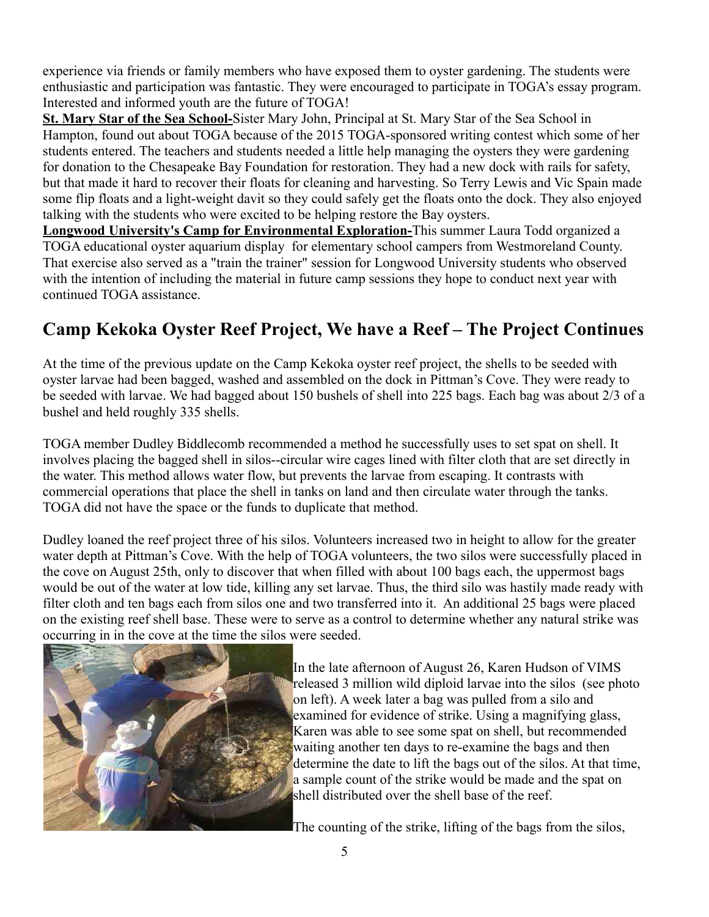experience via friends or family members who have exposed them to oyster gardening. The students were enthusiastic and participation was fantastic. They were encouraged to participate in TOGA's essay program. Interested and informed youth are the future of TOGA!

**St. Mary Star of the Sea School-**Sister Mary John, Principal at St. Mary Star of the Sea School in Hampton, found out about TOGA because of the 2015 TOGA-sponsored writing contest which some of her students entered. The teachers and students needed a little help managing the oysters they were gardening for donation to the Chesapeake Bay Foundation for restoration. They had a new dock with rails for safety, but that made it hard to recover their floats for cleaning and harvesting. So Terry Lewis and Vic Spain made some flip floats and a light-weight davit so they could safely get the floats onto the dock. They also enjoyed talking with the students who were excited to be helping restore the Bay oysters.

**Longwood University's Camp for Environmental Exploration-**This summer Laura Todd organized a TOGA educational oyster aquarium display for elementary school campers from Westmoreland County. That exercise also served as a "train the trainer" session for Longwood University students who observed with the intention of including the material in future camp sessions they hope to conduct next year with continued TOGA assistance.

# **Camp Kekoka Oyster Reef Project, We have a Reef – The Project Continues**

At the time of the previous update on the Camp Kekoka oyster reef project, the shells to be seeded with oyster larvae had been bagged, washed and assembled on the dock in Pittman's Cove. They were ready to be seeded with larvae. We had bagged about 150 bushels of shell into 225 bags. Each bag was about 2/3 of a bushel and held roughly 335 shells.

TOGA member Dudley Biddlecomb recommended a method he successfully uses to set spat on shell. It involves placing the bagged shell in silos--circular wire cages lined with filter cloth that are set directly in the water. This method allows water flow, but prevents the larvae from escaping. It contrasts with commercial operations that place the shell in tanks on land and then circulate water through the tanks. TOGA did not have the space or the funds to duplicate that method.

Dudley loaned the reef project three of his silos. Volunteers increased two in height to allow for the greater water depth at Pittman's Cove. With the help of TOGA volunteers, the two silos were successfully placed in the cove on August 25th, only to discover that when filled with about 100 bags each, the uppermost bags would be out of the water at low tide, killing any set larvae. Thus, the third silo was hastily made ready with filter cloth and ten bags each from silos one and two transferred into it. An additional 25 bags were placed on the existing reef shell base. These were to serve as a control to determine whether any natural strike was occurring in in the cove at the time the silos were seeded.



In the late afternoon of August 26, Karen Hudson of VIMS released 3 million wild diploid larvae into the silos (see photo on left). A week later a bag was pulled from a silo and examined for evidence of strike. Using a magnifying glass, Karen was able to see some spat on shell, but recommended waiting another ten days to re-examine the bags and then determine the date to lift the bags out of the silos. At that time, a sample count of the strike would be made and the spat on shell distributed over the shell base of the reef.

The counting of the strike, lifting of the bags from the silos,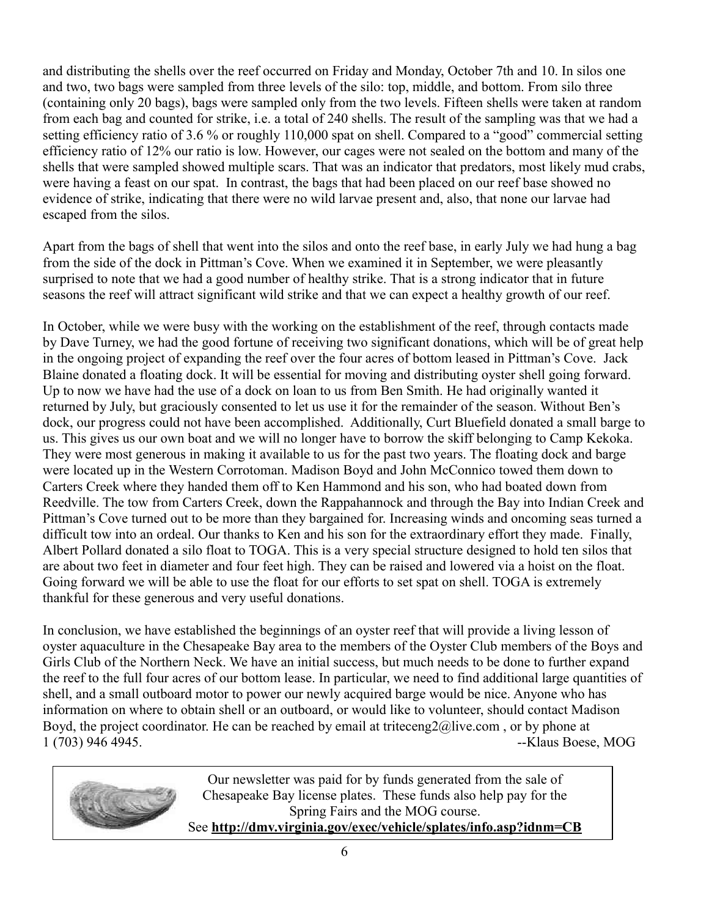and distributing the shells over the reef occurred on Friday and Monday, October 7th and 10. In silos one and two, two bags were sampled from three levels of the silo: top, middle, and bottom. From silo three (containing only 20 bags), bags were sampled only from the two levels. Fifteen shells were taken at random from each bag and counted for strike, i.e. a total of 240 shells. The result of the sampling was that we had a setting efficiency ratio of 3.6 % or roughly 110,000 spat on shell. Compared to a "good" commercial setting efficiency ratio of 12% our ratio is low. However, our cages were not sealed on the bottom and many of the shells that were sampled showed multiple scars. That was an indicator that predators, most likely mud crabs, were having a feast on our spat. In contrast, the bags that had been placed on our reef base showed no evidence of strike, indicating that there were no wild larvae present and, also, that none our larvae had escaped from the silos.

Apart from the bags of shell that went into the silos and onto the reef base, in early July we had hung a bag from the side of the dock in Pittman's Cove. When we examined it in September, we were pleasantly surprised to note that we had a good number of healthy strike. That is a strong indicator that in future seasons the reef will attract significant wild strike and that we can expect a healthy growth of our reef.

In October, while we were busy with the working on the establishment of the reef, through contacts made by Dave Turney, we had the good fortune of receiving two significant donations, which will be of great help in the ongoing project of expanding the reef over the four acres of bottom leased in Pittman's Cove. Jack Blaine donated a floating dock. It will be essential for moving and distributing oyster shell going forward. Up to now we have had the use of a dock on loan to us from Ben Smith. He had originally wanted it returned by July, but graciously consented to let us use it for the remainder of the season. Without Ben's dock, our progress could not have been accomplished. Additionally, Curt Bluefield donated a small barge to us. This gives us our own boat and we will no longer have to borrow the skiff belonging to Camp Kekoka. They were most generous in making it available to us for the past two years. The floating dock and barge were located up in the Western Corrotoman. Madison Boyd and John McConnico towed them down to Carters Creek where they handed them off to Ken Hammond and his son, who had boated down from Reedville. The tow from Carters Creek, down the Rappahannock and through the Bay into Indian Creek and Pittman's Cove turned out to be more than they bargained for. Increasing winds and oncoming seas turned a difficult tow into an ordeal. Our thanks to Ken and his son for the extraordinary effort they made. Finally, Albert Pollard donated a silo float to TOGA. This is a very special structure designed to hold ten silos that are about two feet in diameter and four feet high. They can be raised and lowered via a hoist on the float. Going forward we will be able to use the float for our efforts to set spat on shell. TOGA is extremely thankful for these generous and very useful donations.

In conclusion, we have established the beginnings of an oyster reef that will provide a living lesson of oyster aquaculture in the Chesapeake Bay area to the members of the Oyster Club members of the Boys and Girls Club of the Northern Neck. We have an initial success, but much needs to be done to further expand the reef to the full four acres of our bottom lease. In particular, we need to find additional large quantities of shell, and a small outboard motor to power our newly acquired barge would be nice. Anyone who has information on where to obtain shell or an outboard, or would like to volunteer, should contact Madison Boyd, the project coordinator. He can be reached by email at triteceng2@live.com, or by phone at 1 (703) 946 4945. --Klaus Boese, MOG



Our newsletter was paid for by funds generated from the sale of Chesapeake Bay license plates. These funds also help pay for the Spring Fairs and the MOG course. See **http://dmv.virginia.gov/exec/vehicle/splates/info.asp?idnm=CB**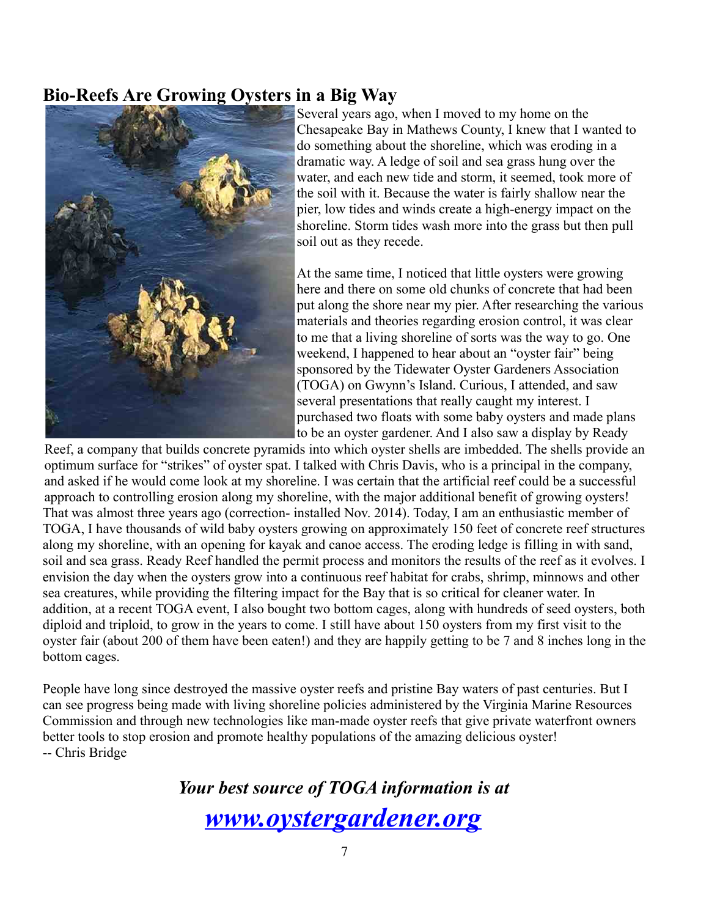## **Bio-Reefs Are Growing Oysters in a Big Way**



Several years ago, when I moved to my home on the Chesapeake Bay in Mathews County, I knew that I wanted to do something about the shoreline, which was eroding in a dramatic way. A ledge of soil and sea grass hung over the water, and each new tide and storm, it seemed, took more of the soil with it. Because the water is fairly shallow near the pier, low tides and winds create a high-energy impact on the shoreline. Storm tides wash more into the grass but then pull soil out as they recede.

At the same time, I noticed that little oysters were growing here and there on some old chunks of concrete that had been put along the shore near my pier. After researching the various materials and theories regarding erosion control, it was clear to me that a living shoreline of sorts was the way to go. One weekend, I happened to hear about an "oyster fair" being sponsored by the Tidewater Oyster Gardeners Association (TOGA) on Gwynn's Island. Curious, I attended, and saw several presentations that really caught my interest. I purchased two floats with some baby oysters and made plans to be an oyster gardener. And I also saw a display by Ready

Reef, a company that builds concrete pyramids into which oyster shells are imbedded. The shells provide an optimum surface for "strikes" of oyster spat. I talked with Chris Davis, who is a principal in the company, and asked if he would come look at my shoreline. I was certain that the artificial reef could be a successful approach to controlling erosion along my shoreline, with the major additional benefit of growing oysters! That was almost three years ago (correction- installed Nov. 2014). Today, I am an enthusiastic member of TOGA, I have thousands of wild baby oysters growing on approximately 150 feet of concrete reef structures along my shoreline, with an opening for kayak and canoe access. The eroding ledge is filling in with sand, soil and sea grass. Ready Reef handled the permit process and monitors the results of the reef as it evolves. I envision the day when the oysters grow into a continuous reef habitat for crabs, shrimp, minnows and other sea creatures, while providing the filtering impact for the Bay that is so critical for cleaner water. In addition, at a recent TOGA event, I also bought two bottom cages, along with hundreds of seed oysters, both diploid and triploid, to grow in the years to come. I still have about 150 oysters from my first visit to the oyster fair (about 200 of them have been eaten!) and they are happily getting to be 7 and 8 inches long in the bottom cages.

People have long since destroyed the massive oyster reefs and pristine Bay waters of past centuries. But I can see progress being made with living shoreline policies administered by the Virginia Marine Resources Commission and through new technologies like man-made oyster reefs that give private waterfront owners better tools to stop erosion and promote healthy populations of the amazing delicious oyster! -- Chris Bridge

> *Your best source of TOGA information is at [www.oystergardener.org](http://www.oystergardener.org/)*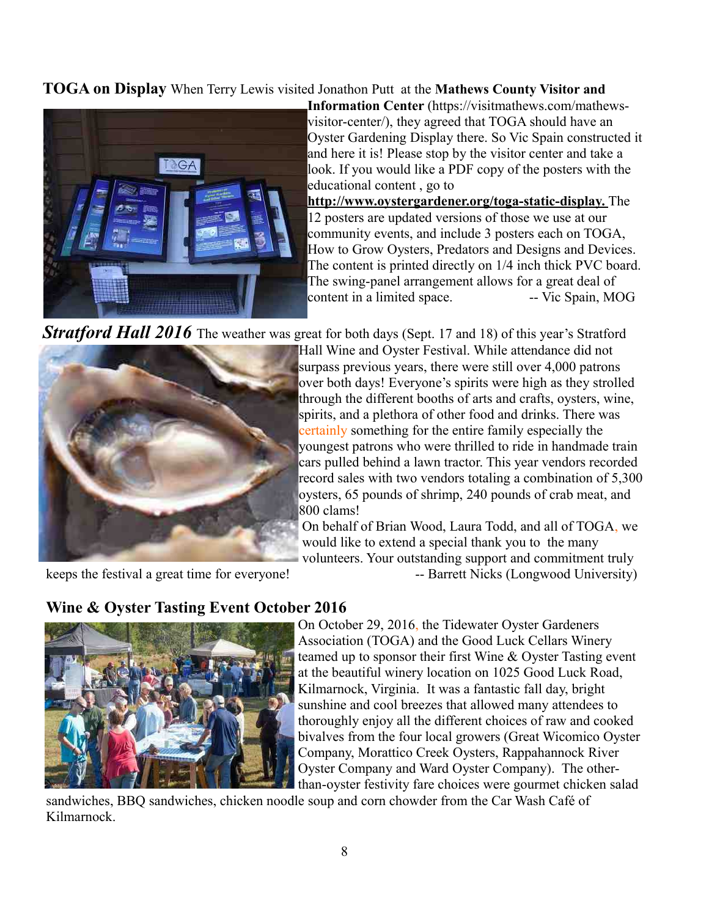#### **TOGA on Display** When Terry Lewis visited Jonathon Putt at the **Mathews County Visitor and**



**Information Center** (https://visitmathews.com/mathewsvisitor-center/), they agreed that TOGA should have an Oyster Gardening Display there. So Vic Spain constructed it and here it is! Please stop by the visitor center and take a look. If you would like a PDF copy of the posters with the educational content , go to

**http://www.oystergardener.org/toga-static-display.** The 12 posters are updated versions of those we use at our community events, and include 3 posters each on TOGA, How to Grow Oysters, Predators and Designs and Devices. The content is printed directly on 1/4 inch thick PVC board. The swing-panel arrangement allows for a great deal of content in a limited space. -- Vic Spain, MOG

**Stratford Hall 2016** The weather was great for both days (Sept. 17 and 18) of this year's Stratford



Hall Wine and Oyster Festival. While attendance did not surpass previous years, there were still over 4,000 patrons over both days! Everyone's spirits were high as they strolled through the different booths of arts and crafts, oysters, wine, spirits, and a plethora of other food and drinks. There was certainly something for the entire family especially the youngest patrons who were thrilled to ride in handmade train cars pulled behind a lawn tractor. This year vendors recorded record sales with two vendors totaling a combination of 5,300 oysters, 65 pounds of shrimp, 240 pounds of crab meat, and 800 clams!

On behalf of Brian Wood, Laura Todd, and all of TOGA, we would like to extend a special thank you to the many volunteers. Your outstanding support and commitment truly

keeps the festival a great time for everyone! -- Barrett Nicks (Longwood University)

#### **Wine & Oyster Tasting Event October 2016**



On October 29, 2016, the Tidewater Oyster Gardeners Association (TOGA) and the Good Luck Cellars Winery teamed up to sponsor their first Wine & Oyster Tasting event at the beautiful winery location on 1025 Good Luck Road, Kilmarnock, Virginia. It was a fantastic fall day, bright sunshine and cool breezes that allowed many attendees to thoroughly enjoy all the different choices of raw and cooked bivalves from the four local growers (Great Wicomico Oyster Company, Morattico Creek Oysters, Rappahannock River Oyster Company and Ward Oyster Company). The otherthan-oyster festivity fare choices were gourmet chicken salad

sandwiches, BBQ sandwiches, chicken noodle soup and corn chowder from the Car Wash Café of Kilmarnock.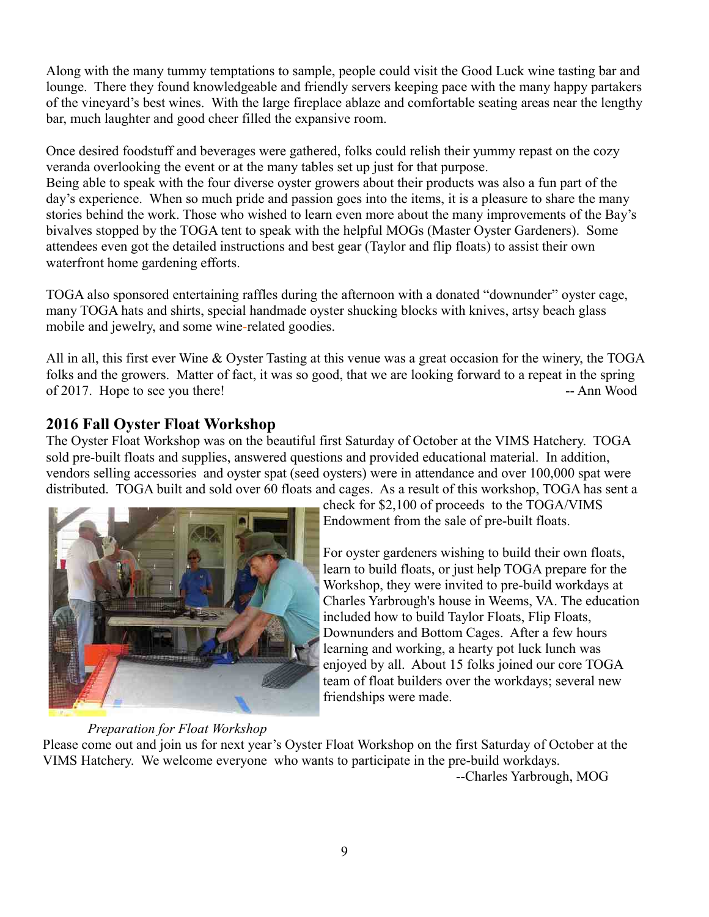Along with the many tummy temptations to sample, people could visit the Good Luck wine tasting bar and lounge. There they found knowledgeable and friendly servers keeping pace with the many happy partakers of the vineyard's best wines. With the large fireplace ablaze and comfortable seating areas near the lengthy bar, much laughter and good cheer filled the expansive room.

Once desired foodstuff and beverages were gathered, folks could relish their yummy repast on the cozy veranda overlooking the event or at the many tables set up just for that purpose. Being able to speak with the four diverse oyster growers about their products was also a fun part of the day's experience. When so much pride and passion goes into the items, it is a pleasure to share the many stories behind the work. Those who wished to learn even more about the many improvements of the Bay's bivalves stopped by the TOGA tent to speak with the helpful MOGs (Master Oyster Gardeners). Some attendees even got the detailed instructions and best gear (Taylor and flip floats) to assist their own waterfront home gardening efforts.

TOGA also sponsored entertaining raffles during the afternoon with a donated "downunder" oyster cage, many TOGA hats and shirts, special handmade oyster shucking blocks with knives, artsy beach glass mobile and jewelry, and some wine-related goodies.

All in all, this first ever Wine & Oyster Tasting at this venue was a great occasion for the winery, the TOGA folks and the growers. Matter of fact, it was so good, that we are looking forward to a repeat in the spring of 2017. Hope to see you there! -- Ann Wood

## **2016 Fall Oyster Float Workshop**

The Oyster Float Workshop was on the beautiful first Saturday of October at the VIMS Hatchery. TOGA sold pre-built floats and supplies, answered questions and provided educational material. In addition, vendors selling accessories and oyster spat (seed oysters) were in attendance and over 100,000 spat were distributed. TOGA built and sold over 60 floats and cages. As a result of this workshop, TOGA has sent a



### *Preparation for Float Workshop*

check for \$2,100 of proceeds to the TOGA/VIMS Endowment from the sale of pre-built floats.

For oyster gardeners wishing to build their own floats, learn to build floats, or just help TOGA prepare for the Workshop, they were invited to pre-build workdays at Charles Yarbrough's house in Weems, VA. The education included how to build Taylor Floats, Flip Floats, Downunders and Bottom Cages. After a few hours learning and working, a hearty pot luck lunch was enjoyed by all. About 15 folks joined our core TOGA team of float builders over the workdays; several new friendships were made.

Please come out and join us for next year's Oyster Float Workshop on the first Saturday of October at the VIMS Hatchery. We welcome everyone who wants to participate in the pre-build workdays. --Charles Yarbrough, MOG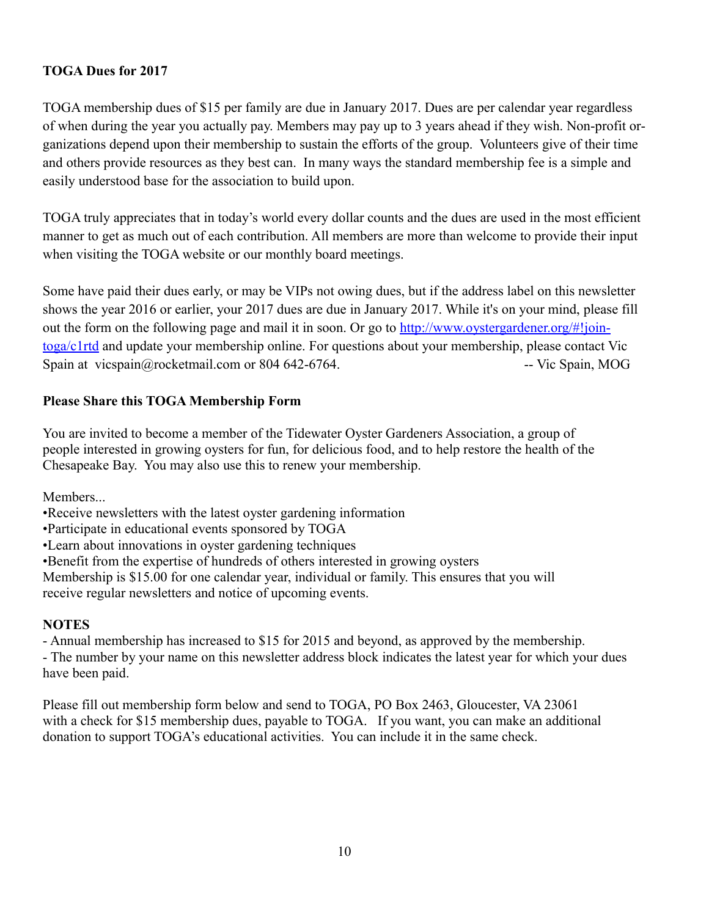#### **TOGA Dues for 2017**

TOGA membership dues of \$15 per family are due in January 2017. Dues are per calendar year regardless of when during the year you actually pay. Members may pay up to 3 years ahead if they wish. Non-profit organizations depend upon their membership to sustain the efforts of the group. Volunteers give of their time and others provide resources as they best can. In many ways the standard membership fee is a simple and easily understood base for the association to build upon.

TOGA truly appreciates that in today's world every dollar counts and the dues are used in the most efficient manner to get as much out of each contribution. All members are more than welcome to provide their input when visiting the TOGA website or our monthly board meetings.

Some have paid their dues early, or may be VIPs not owing dues, but if the address label on this newsletter shows the year 2016 or earlier, your 2017 dues are due in January 2017. While it's on your mind, please fill out the form on the following page and mail it in soon. Or go to [http://www.oystergardener.org/#!join](http://www.oystergardener.org/#!join-toga/c1rtd)[toga/c1rtd](http://www.oystergardener.org/#!join-toga/c1rtd) and update your membership online. For questions about your membership, please contact Vic Spain at vicspain@rocketmail.com or 804 642-6764. -- -- - - - - Vic Spain, MOG

#### **Please Share this TOGA Membership Form**

You are invited to become a member of the Tidewater Oyster Gardeners Association, a group of people interested in growing oysters for fun, for delicious food, and to help restore the health of the Chesapeake Bay. You may also use this to renew your membership.

Members...

•Receive newsletters with the latest oyster gardening information

•Participate in educational events sponsored by TOGA

•Learn about innovations in oyster gardening techniques

•Benefit from the expertise of hundreds of others interested in growing oysters

Membership is \$15.00 for one calendar year, individual or family. This ensures that you will receive regular newsletters and notice of upcoming events.

#### **NOTES**

- Annual membership has increased to \$15 for 2015 and beyond, as approved by the membership.

- The number by your name on this newsletter address block indicates the latest year for which your dues have been paid.

Please fill out membership form below and send to TOGA, PO Box 2463, Gloucester, VA 23061 with a check for \$15 membership dues, payable to TOGA. If you want, you can make an additional donation to support TOGA's educational activities. You can include it in the same check.